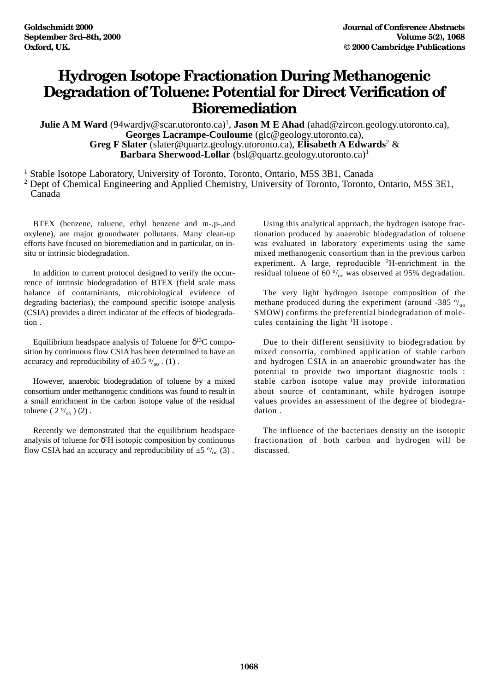## **Hydrogen Isotope Fractionation During Methanogenic Degradation of Toluene: Potential for Direct Verification of Bioremediation**

**Julie A M Ward** (94wardjv@scar.utoronto.ca)<sup>1</sup>, **Jason M E Ahad** (ahad@zircon.geology.utoronto.ca), **Georges Lacrampe-Couloume** (glc@geology.utoronto.ca), **Greg F Slater** (slater@quartz.geology.utoronto.ca), **Elisabeth A Edwards**<sup>2</sup> & **Barbara Sherwood-Lollar** (bsl@quartz.geology.utoronto.ca)<sup>1</sup>

<sup>1</sup> Stable Isotope Laboratory, University of Toronto, Toronto, Ontario, M5S 3B1, Canada <sup>2</sup> Dept of Chemical Engineering and Applied Chemistry, University of Toronto, Toronto, Ontario, M5S 3E1,

Canada

BTEX (benzene, toluene, ethyl benzene and m-,p-,and oxylene), are major groundwater pollutants. Many clean-up efforts have focused on bioremediation and in particular, on insitu or intrinsic biodegradation.

In addition to current protocol designed to verify the occurrence of intrinsic biodegradation of BTEX (field scale mass balance of contaminants, microbiological evidence of degrading bacterias), the compound specific isotope analysis (CSIA) provides a direct indicator of the effects of biodegradation .

Equilibrium headspace analysis of Toluene for  $\delta^{13}C$  composition by continuous flow CSIA has been determined to have an accuracy and reproducibility of  $\pm 0.5 \frac{\omega}{\omega}$ . (1).

However, anaerobic biodegradation of toluene by a mixed consortium under methanogenic conditions was found to result in a small enrichment in the carbon isotope value of the residual toluene  $(2 \frac{0}{00})$  (2).

Recently we demonstrated that the equilibrium headspace analysis of toluene for  $\delta^2$ H isotopic composition by continuous flow CSIA had an accuracy and reproducibility of  $\pm 5 \frac{\circ}{\circ}$  (3).

Using this analytical approach, the hydrogen isotope fractionation produced by anaerobic biodegradation of toluene was evaluated in laboratory experiments using the same mixed methanogenic consortium than in the previous carbon experiment. A large, reproducible <sup>2</sup>H-enrichment in the residual toluene of 60 $\frac{\circ}{\circ}$  was observed at 95% degradation.

The very light hydrogen isotope composition of the methane produced during the experiment (around -385  $\frac{9}{20}$ ) SMOW) confirms the preferential biodegradation of molecules containing the light <sup>1</sup>H isotope.

Due to their different sensitivity to biodegradation by mixed consortia, combined application of stable carbon and hydrogen CSIA in an anaerobic groundwater has the potential to provide two important diagnostic tools : stable carbon isotope value may provide information about source of contaminant, while hydrogen isotope values provides an assessment of the degree of biodegradation .

The influence of the bacteriaes density on the isotopic fractionation of both carbon and hydrogen will be discussed.